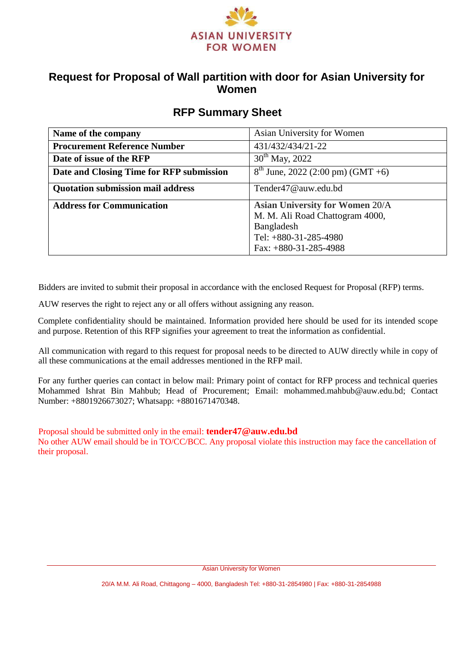

## **Request for Proposal of Wall partition with door for Asian University for Women**

## **RFP Summary Sheet**

| Name of the company                      | Asian University for Women             |
|------------------------------------------|----------------------------------------|
| <b>Procurement Reference Number</b>      | 431/432/434/21-22                      |
| Date of issue of the RFP                 | $30^{th}$ May, 2022                    |
| Date and Closing Time for RFP submission | $8^{th}$ June, 2022 (2:00 pm) (GMT +6) |
| <b>Quotation submission mail address</b> | Tender47@auw.edu.bd                    |
| <b>Address for Communication</b>         | <b>Asian University for Women 20/A</b> |
|                                          | M. M. Ali Road Chattogram 4000,        |
|                                          | Bangladesh                             |
|                                          | Tel: $+880-31-285-4980$                |
|                                          | Fax: $+880-31-285-4988$                |

Bidders are invited to submit their proposal in accordance with the enclosed Request for Proposal (RFP) terms.

AUW reserves the right to reject any or all offers without assigning any reason.

Complete confidentiality should be maintained. Information provided here should be used for its intended scope and purpose. Retention of this RFP signifies your agreement to treat the information as confidential.

All communication with regard to this request for proposal needs to be directed to AUW directly while in copy of all these communications at the email addresses mentioned in the RFP mail.

For any further queries can contact in below mail: Primary point of contact for RFP process and technical queries Mohammed Ishrat Bin Mahbub; Head of Procurement; Email: mohammed.mahbub@auw.edu.bd; Contact Number: +8801926673027; Whatsapp: +8801671470348.

Proposal should be submitted only in the email: **tender47@auw.edu.bd**

No other AUW email should be in TO/CC/BCC. Any proposal violate this instruction may face the cancellation of their proposal.

Asian University for Women

20/A M.M. Ali Road, Chittagong – 4000, Bangladesh Tel: +880-31-2854980 | Fax: +880-31-2854988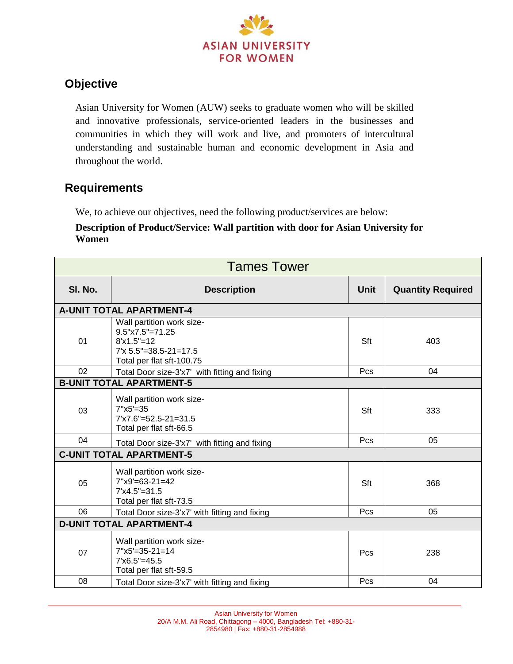

# **Objective**

Asian University for Women (AUW) seeks to graduate women who will be skilled and innovative professionals, service-oriented leaders in the businesses and communities in which they will work and live, and promoters of intercultural understanding and sustainable human and economic development in Asia and throughout the world.

## **Requirements**

We, to achieve our objectives, need the following product/services are below:

#### **Description of Product/Service: Wall partition with door for Asian University for Women**

| <b>Tames Tower</b>              |                                                                                                                                    |             |                          |  |
|---------------------------------|------------------------------------------------------------------------------------------------------------------------------------|-------------|--------------------------|--|
| SI. No.                         | <b>Description</b>                                                                                                                 | <b>Unit</b> | <b>Quantity Required</b> |  |
|                                 | <b>A-UNIT TOTAL APARTMENT-4</b>                                                                                                    |             |                          |  |
| 01                              | Wall partition work size-<br>$9.5" \times 7.5" = 71.25$<br>$8'x1.5" = 12$<br>$7'$ x 5.5"=38.5-21=17.5<br>Total per flat sft-100.75 | Sft         | 403                      |  |
| 02                              | Total Door size-3'x7' with fitting and fixing                                                                                      | Pcs         | 04                       |  |
|                                 | <b>B-UNIT TOTAL APARTMENT-5</b>                                                                                                    |             |                          |  |
| 03                              | Wall partition work size-<br>$7''x5'=35$<br>$7'x7.6" = 52.5 - 21 = 31.5$<br>Total per flat sft-66.5                                | Sft         | 333                      |  |
| 04                              | Total Door size-3'x7' with fitting and fixing                                                                                      | Pcs         | 05                       |  |
| <b>C-UNIT TOTAL APARTMENT-5</b> |                                                                                                                                    |             |                          |  |
| 05                              | Wall partition work size-<br>$7"x9'=63-21=42$<br>$7'x4.5" = 31.5$<br>Total per flat sft-73.5                                       | Sft         | 368                      |  |
| 06                              | Total Door size-3'x7' with fitting and fixing                                                                                      | Pcs         | 05                       |  |
| <b>D-UNIT TOTAL APARTMENT-4</b> |                                                                                                                                    |             |                          |  |
| 07                              | Wall partition work size-<br>$7"x5'=35-21=14$<br>$7'x6.5" = 45.5$<br>Total per flat sft-59.5                                       | Pcs         | 238                      |  |
| 08                              | Total Door size-3'x7' with fitting and fixing                                                                                      | Pcs         | 04                       |  |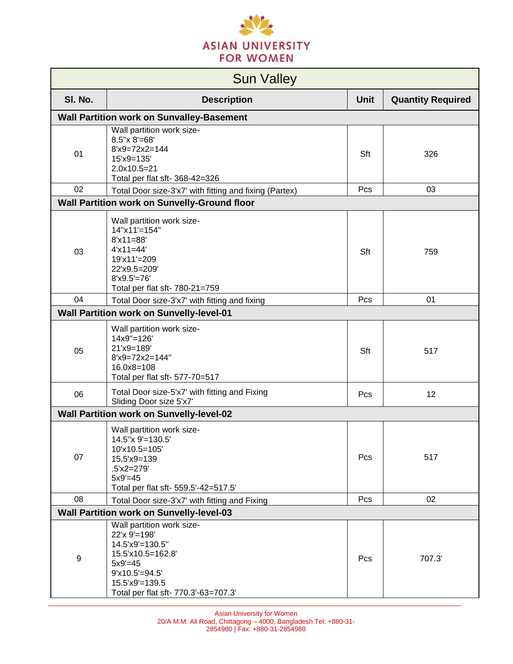

| <b>Sun Valley</b>                               |                                                                                                                                                                                |             |                          |
|-------------------------------------------------|--------------------------------------------------------------------------------------------------------------------------------------------------------------------------------|-------------|--------------------------|
| SI. No.                                         | <b>Description</b>                                                                                                                                                             | <b>Unit</b> | <b>Quantity Required</b> |
|                                                 | <b>Wall Partition work on Sunvalley-Basement</b>                                                                                                                               |             |                          |
| 01                                              | Wall partition work size-<br>$8.5''$ x $8'$ =68'<br>$8'x9=72x2=144$<br>15'x9=135'<br>2.0x10.5=21<br>Total per flat sft- 368-42=326                                             | Sft         | 326                      |
| 02                                              | Total Door size-3'x7' with fitting and fixing (Partex)                                                                                                                         | Pcs         | 03                       |
|                                                 | Wall Partition work on Sunvelly-Ground floor                                                                                                                                   |             |                          |
| 03                                              | Wall partition work size-<br>14"x11'=154"<br>$8'x11=88'$<br>$4'x11=44'$<br>19'x11'=209<br>22'x9.5=209'<br>$8'x9.5'=76'$<br>Total per flat sft- 780-21=759                      | Sft         | 759                      |
| 04                                              | Total Door size-3'x7' with fitting and fixing                                                                                                                                  | Pcs         | 01                       |
|                                                 | <b>Wall Partition work on Sunvelly-level-01</b>                                                                                                                                |             |                          |
| 05                                              | Wall partition work size-<br>14x9"=126'<br>21'x9=189'<br>8'x9=72x2=144"<br>$16.0x8 = 108$<br>Total per flat sft- 577-70=517                                                    | Sft         | 517                      |
| 06                                              | Total Door size-5'x7' with fitting and Fixing<br>Sliding Door size 5'x7'                                                                                                       | Pcs         | 12                       |
|                                                 | <b>Wall Partition work on Sunvelly-level-02</b>                                                                                                                                |             |                          |
| 07                                              | Wall partition work size-<br>14.5"x 9'=130.5"<br>10'x10.5=105'<br>15.5'x9=139<br>$.5'x2=279'$<br>$5x9' = 45$<br>Total per flat sft- 559.5'-42=517.5'                           | Pcs         | 517                      |
| 08                                              | Total Door size-3'x7' with fitting and Fixing                                                                                                                                  | Pcs         | 02                       |
| <b>Wall Partition work on Sunvelly-level-03</b> |                                                                                                                                                                                |             |                          |
| 9                                               | Wall partition work size-<br>22'x 9'=198'<br>14.5'x9'=130.5"<br>15.5'x10.5=162.8'<br>$5x9' = 45$<br>$9'x10.5'=94.5'$<br>15.5'x9'=139.5<br>Total per flat sft- 770.3'-63=707.3' | Pcs         | 707.3'                   |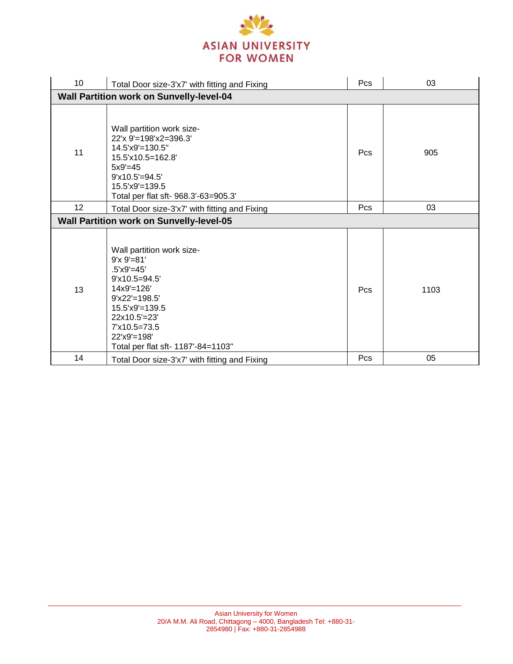

| 10                                              | Total Door size-3'x7' with fitting and Fixing                                                                                                                                                                                     | Pcs | 03   |
|-------------------------------------------------|-----------------------------------------------------------------------------------------------------------------------------------------------------------------------------------------------------------------------------------|-----|------|
| <b>Wall Partition work on Sunvelly-level-04</b> |                                                                                                                                                                                                                                   |     |      |
| 11                                              | Wall partition work size-<br>22'x 9'=198'x2=396.3'<br>$14.5$ 'x9'=130.5"<br>15.5'x10.5=162.8'<br>$5x9' = 45$<br>$9'x10.5'=94.5'$<br>$15.5$ 'x9'=139.5<br>Total per flat sft- 968.3'-63=905.3'                                     | Pcs | 905  |
| 12                                              | Total Door size-3'x7' with fitting and Fixing                                                                                                                                                                                     | Pcs | 03   |
| <b>Wall Partition work on Sunvelly-level-05</b> |                                                                                                                                                                                                                                   |     |      |
| 13                                              | Wall partition work size-<br>$9'x 9' = 81'$<br>$.5'x9' = 45'$<br>$9'x10.5=94.5'$<br>$14x9' = 126'$<br>$9'x22' = 198.5'$<br>$15.5$ 'x9'=139.5<br>22x10.5'=23'<br>7'x10.5=73.5<br>22'x9'=198'<br>Total per flat sft- 1187'-84=1103" | Pcs | 1103 |
| 14                                              | Total Door size-3'x7' with fitting and Fixing                                                                                                                                                                                     | Pcs | 05   |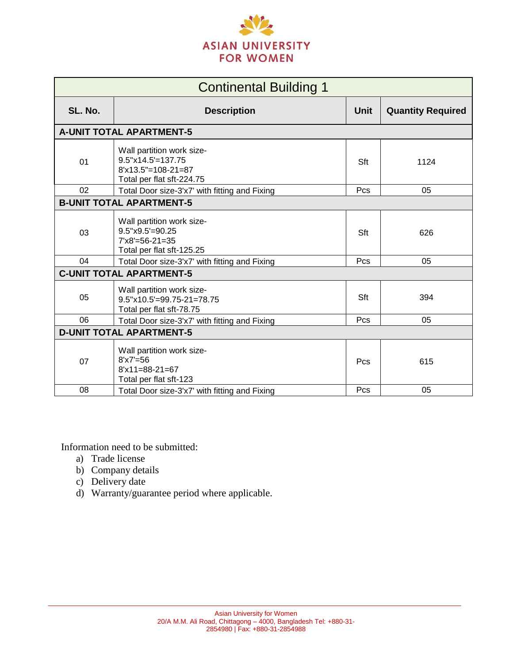

| <b>Continental Building 1</b>   |                                                                                                          |      |                          |
|---------------------------------|----------------------------------------------------------------------------------------------------------|------|--------------------------|
| SL. No.                         | <b>Description</b>                                                                                       | Unit | <b>Quantity Required</b> |
|                                 | <b>A-UNIT TOTAL APARTMENT-5</b>                                                                          |      |                          |
| 01                              | Wall partition work size-<br>$9.5''x14.5'=137.75$<br>$8'x13.5" = 108-21=87$<br>Total per flat sft-224.75 | Sft  | 1124                     |
| 02                              | Total Door size-3'x7' with fitting and Fixing                                                            | Pcs  | 05                       |
|                                 | <b>B-UNIT TOTAL APARTMENT-5</b>                                                                          |      |                          |
| 03                              | Wall partition work size-<br>$9.5$ "x $9.5$ '= $90.25$<br>$7'x8'=56-21=35$<br>Total per flat sft-125.25  | Sft  | 626                      |
| 04                              | Total Door size-3'x7' with fitting and Fixing                                                            | Pcs  | 05                       |
| <b>C-UNIT TOTAL APARTMENT-5</b> |                                                                                                          |      |                          |
| 05                              | Wall partition work size-<br>$9.5$ "x10.5'=99.75-21=78.75<br>Total per flat sft-78.75                    | Sft  | 394                      |
| 06                              | Total Door size-3'x7' with fitting and Fixing                                                            | Pcs  | 05                       |
| <b>D-UNIT TOTAL APARTMENT-5</b> |                                                                                                          |      |                          |
| 07                              | Wall partition work size-<br>$8'x7' = 56$<br>$8'x11=88-21=67$<br>Total per flat sft-123                  | Pcs  | 615                      |
| 08                              | Total Door size-3'x7' with fitting and Fixing                                                            | Pcs  | 05                       |

Information need to be submitted:

- a) Trade license
- b) Company details
- c) Delivery date
- d) Warranty/guarantee period where applicable.